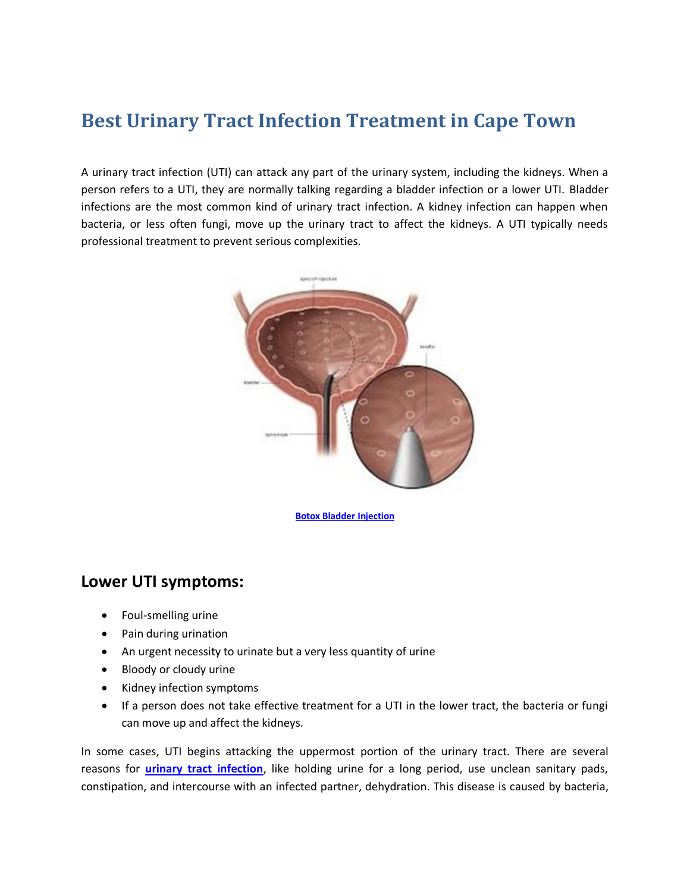## **Best Urinary Tract Infection Treatment in Cape Town**

A urinary tract infection (UTI) can attack any part of the urinary system, including the kidneys. When a person refers to a UTI, they are normally talking regarding a bladder infection or a lower UTI. Bladder infections are the most common kind of urinary tract infection. A kidney infection can happen when bacteria, or less often fungi, move up the urinary tract to affect the kidneys. A UTI typically needs professional treatment to prevent serious complexities.



**[Botox Bladder Injection](https://www.urologycapetown.co.za/pelvic-organ-dysfunction.aspx)**

## **Lower UTI symptoms:**

- Foul-smelling urine
- Pain during urination
- An urgent necessity to urinate but a very less quantity of urine
- Bloody or cloudy urine
- Kidney infection symptoms
- If a person does not take effective treatment for a UTI in the lower tract, the bacteria or fungi can move up and affect the kidneys.

In some cases, UTI begins attacking the uppermost portion of the urinary tract. There are several reasons for **[urinary tract infection](https://urology-cape-town.yolasite.com/)**, like holding urine for a long period, use unclean sanitary pads, constipation, and intercourse with an infected partner, dehydration. This disease is caused by bacteria,